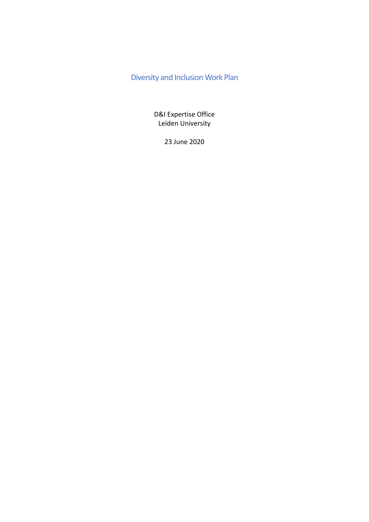# Diversity and Inclusion Work Plan

D&I Expertise Office Leiden University

23 June 2020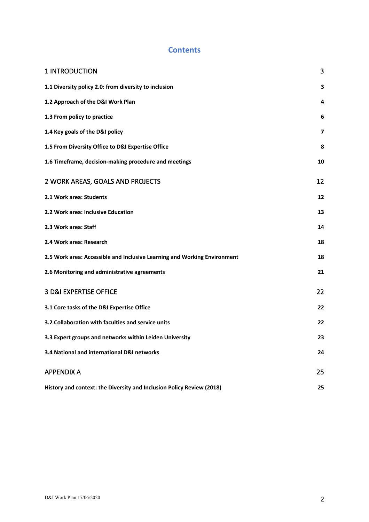# **Contents**

| 1 INTRODUCTION                                                           | 3                       |
|--------------------------------------------------------------------------|-------------------------|
| 1.1 Diversity policy 2.0: from diversity to inclusion                    | 3                       |
| 1.2 Approach of the D&I Work Plan                                        | 4                       |
| 1.3 From policy to practice                                              | 6                       |
| 1.4 Key goals of the D&I policy                                          | $\overline{\mathbf{z}}$ |
| 1.5 From Diversity Office to D&I Expertise Office                        | 8                       |
| 1.6 Timeframe, decision-making procedure and meetings                    | 10                      |
| 2 WORK AREAS, GOALS AND PROJECTS                                         | 12                      |
| 2.1 Work area: Students                                                  | 12                      |
| 2.2 Work area: Inclusive Education                                       | 13                      |
| 2.3 Work area: Staff                                                     | 14                      |
| 2.4 Work area: Research                                                  | 18                      |
| 2.5 Work area: Accessible and Inclusive Learning and Working Environment | 18                      |
| 2.6 Monitoring and administrative agreements                             | 21                      |
| 3 D&I EXPERTISE OFFICE                                                   | 22                      |
| 3.1 Core tasks of the D&I Expertise Office                               | 22                      |
| 3.2 Collaboration with faculties and service units                       | 22                      |
| 3.3 Expert groups and networks within Leiden University                  | 23                      |
| 3.4 National and international D&I networks                              | 24                      |
| <b>APPENDIX A</b>                                                        | 25                      |
| History and context: the Diversity and Inclusion Policy Review (2018)    | 25                      |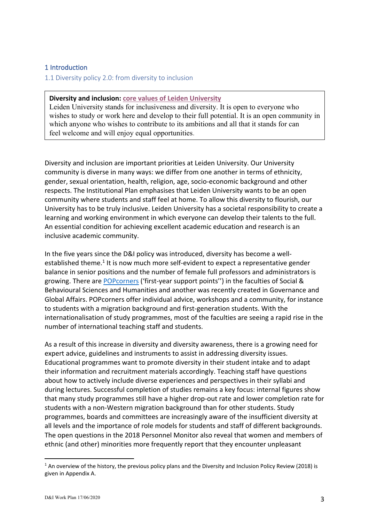#### 1 Introduction

1.1 Diversity policy 2.0: from diversity to inclusion

#### **Diversity and inclusion: core values of Leiden University**

Leiden University stands for inclusiveness and diversity. It is open to everyone who wishes to study or work here and develop to their full potential. It is an open community in which anyone who wishes to contribute to its ambitions and all that it stands for can feel welcome and will enjoy equal opportunities.

Diversity and inclusion are important priorities at Leiden University. Our University community is diverse in many ways: we differ from one another in terms of ethnicity, gender, sexual orientation, health, religion, age, socio-economic background and other respects. The Institutional Plan emphasises that Leiden University wants to be an open community where students and staff feel at home. To allow this diversity to flourish, our University has to be truly inclusive. Leiden University has a societal responsibility to create a learning and working environment in which everyone can develop their talents to the full. An essential condition for achieving excellent academic education and research is an inclusive academic community.

In the five years since the D&I policy was introduced, diversity has become a wellestablished theme.<sup>1</sup> It is now much more self-evident to expect a representative gender balance in senior positions and the number of female full professors and administrators is growing. There are POPcorners ('first-year support points'') in the faculties of Social & Behavioural Sciences and Humanities and another was recently created in Governance and Global Affairs. POPcorners offer individual advice, workshops and a community, for instance to students with a migration background and first-generation students. With the internationalisation of study programmes, most of the faculties are seeing a rapid rise in the number of international teaching staff and students.

As a result of this increase in diversity and diversity awareness, there is a growing need for expert advice, guidelines and instruments to assist in addressing diversity issues. Educational programmes want to promote diversity in their student intake and to adapt their information and recruitment materials accordingly. Teaching staff have questions about how to actively include diverse experiences and perspectives in their syllabi and during lectures. Successful completion of studies remains a key focus: internal figures show that many study programmes still have a higher drop-out rate and lower completion rate for students with a non-Western migration background than for other students. Study programmes, boards and committees are increasingly aware of the insufficient diversity at all levels and the importance of role models for students and staff of different backgrounds. The open questions in the 2018 Personnel Monitor also reveal that women and members of ethnic (and other) minorities more frequently report that they encounter unpleasant

<sup>&</sup>lt;sup>1</sup> An overview of the history, the previous policy plans and the Diversity and Inclusion Policy Review (2018) is given in Appendix A.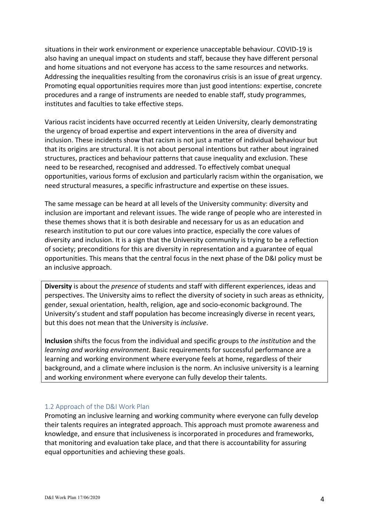situations in their work environment or experience unacceptable behaviour. COVID-19 is also having an unequal impact on students and staff, because they have different personal and home situations and not everyone has access to the same resources and networks. Addressing the inequalities resulting from the coronavirus crisis is an issue of great urgency. Promoting equal opportunities requires more than just good intentions: expertise, concrete procedures and a range of instruments are needed to enable staff, study programmes, institutes and faculties to take effective steps.

Various racist incidents have occurred recently at Leiden University, clearly demonstrating the urgency of broad expertise and expert interventions in the area of diversity and inclusion. These incidents show that racism is not just a matter of individual behaviour but that its origins are structural. It is not about personal intentions but rather about ingrained structures, practices and behaviour patterns that cause inequality and exclusion. These need to be researched, recognised and addressed. To effectively combat unequal opportunities, various forms of exclusion and particularly racism within the organisation, we need structural measures, a specific infrastructure and expertise on these issues.

The same message can be heard at all levels of the University community: diversity and inclusion are important and relevant issues. The wide range of people who are interested in these themes shows that it is both desirable and necessary for us as an education and research institution to put our core values into practice, especially the core values of diversity and inclusion. It is a sign that the University community is trying to be a reflection of society; preconditions for this are diversity in representation and a guarantee of equal opportunities. This means that the central focus in the next phase of the D&I policy must be an inclusive approach.

**Diversity** is about the *presence* of students and staff with different experiences, ideas and perspectives. The University aims to reflect the diversity of society in such areas as ethnicity, gender, sexual orientation, health, religion, age and socio-economic background. The University's student and staff population has become increasingly diverse in recent years, but this does not mean that the University is *inclusive*.

**Inclusion** shifts the focus from the individual and specific groups to *the institution* and the *learning and working environment*. Basic requirements for successful performance are a learning and working environment where everyone feels at home, regardless of their background, and a climate where inclusion is the norm. An inclusive university is a learning and working environment where everyone can fully develop their talents.

#### 1.2 Approach of the D&I Work Plan

Promoting an inclusive learning and working community where everyone can fully develop their talents requires an integrated approach. This approach must promote awareness and knowledge, and ensure that inclusiveness is incorporated in procedures and frameworks, that monitoring and evaluation take place, and that there is accountability for assuring equal opportunities and achieving these goals.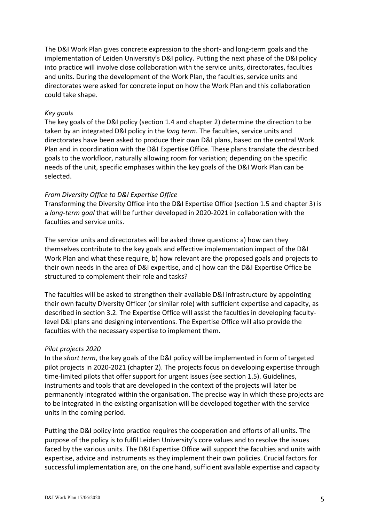The D&I Work Plan gives concrete expression to the short- and long-term goals and the implementation of Leiden University's D&I policy. Putting the next phase of the D&I policy into practice will involve close collaboration with the service units, directorates, faculties and units. During the development of the Work Plan, the faculties, service units and directorates were asked for concrete input on how the Work Plan and this collaboration could take shape.

#### *Key goals*

The key goals of the D&I policy (section 1.4 and chapter 2) determine the direction to be taken by an integrated D&I policy in the *long term*. The faculties, service units and directorates have been asked to produce their own D&I plans, based on the central Work Plan and in coordination with the D&I Expertise Office. These plans translate the described goals to the workfloor, naturally allowing room for variation; depending on the specific needs of the unit, specific emphases within the key goals of the D&I Work Plan can be selected.

#### *From Diversity Office to D&I Expertise Office*

Transforming the Diversity Office into the D&I Expertise Office (section 1.5 and chapter 3) is a *long-term goal* that will be further developed in 2020-2021 in collaboration with the faculties and service units.

The service units and directorates will be asked three questions: a) how can they themselves contribute to the key goals and effective implementation impact of the D&I Work Plan and what these require, b) how relevant are the proposed goals and projects to their own needs in the area of D&I expertise, and c) how can the D&I Expertise Office be structured to complement their role and tasks?

The faculties will be asked to strengthen their available D&I infrastructure by appointing their own faculty Diversity Officer (or similar role) with sufficient expertise and capacity, as described in section 3.2. The Expertise Office will assist the faculties in developing facultylevel D&I plans and designing interventions. The Expertise Office will also provide the faculties with the necessary expertise to implement them.

#### *Pilot projects 2020*

In the *short term*, the key goals of the D&I policy will be implemented in form of targeted pilot projects in 2020-2021 (chapter 2). The projects focus on developing expertise through time-limited pilots that offer support for urgent issues (see section 1.5). Guidelines, instruments and tools that are developed in the context of the projects will later be permanently integrated within the organisation. The precise way in which these projects are to be integrated in the existing organisation will be developed together with the service units in the coming period.

Putting the D&I policy into practice requires the cooperation and efforts of all units. The purpose of the policy is to fulfil Leiden University's core values and to resolve the issues faced by the various units. The D&I Expertise Office will support the faculties and units with expertise, advice and instruments as they implement their own policies. Crucial factors for successful implementation are, on the one hand, sufficient available expertise and capacity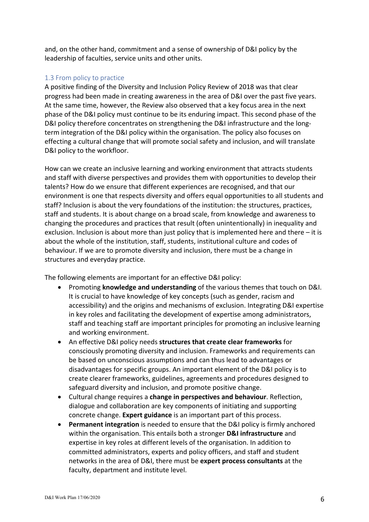and, on the other hand, commitment and a sense of ownership of D&I policy by the leadership of faculties, service units and other units.

#### 1.3 From policy to practice

A positive finding of the Diversity and Inclusion Policy Review of 2018 was that clear progress had been made in creating awareness in the area of D&I over the past five years. At the same time, however, the Review also observed that a key focus area in the next phase of the D&I policy must continue to be its enduring impact. This second phase of the D&I policy therefore concentrates on strengthening the D&I infrastructure and the longterm integration of the D&I policy within the organisation. The policy also focuses on effecting a cultural change that will promote social safety and inclusion, and will translate D&I policy to the workfloor.

How can we create an inclusive learning and working environment that attracts students and staff with diverse perspectives and provides them with opportunities to develop their talents? How do we ensure that different experiences are recognised, and that our environment is one that respects diversity and offers equal opportunities to all students and staff? Inclusion is about the very foundations of the institution: the structures, practices, staff and students. It is about change on a broad scale, from knowledge and awareness to changing the procedures and practices that result (often unintentionally) in inequality and exclusion. Inclusion is about more than just policy that is implemented here and there – it is about the whole of the institution, staff, students, institutional culture and codes of behaviour. If we are to promote diversity and inclusion, there must be a change in structures and everyday practice.

The following elements are important for an effective D&I policy:

- Promoting **knowledge and understanding** of the various themes that touch on D&I. It is crucial to have knowledge of key concepts (such as gender, racism and accessibility) and the origins and mechanisms of exclusion. Integrating D&I expertise in key roles and facilitating the development of expertise among administrators, staff and teaching staff are important principles for promoting an inclusive learning and working environment.
- An effective D&I policy needs **structures that create clear frameworks** for consciously promoting diversity and inclusion. Frameworks and requirements can be based on unconscious assumptions and can thus lead to advantages or disadvantages for specific groups. An important element of the D&I policy is to create clearer frameworks, guidelines, agreements and procedures designed to safeguard diversity and inclusion, and promote positive change.
- Cultural change requires a **change in perspectives and behaviour**. Reflection, dialogue and collaboration are key components of initiating and supporting concrete change. **Expert guidance** is an important part of this process.
- **Permanent integration** is needed to ensure that the D&I policy is firmly anchored within the organisation. This entails both a stronger **D&I infrastructure** and expertise in key roles at different levels of the organisation. In addition to committed administrators, experts and policy officers, and staff and student networks in the area of D&I, there must be **expert process consultants** at the faculty, department and institute level.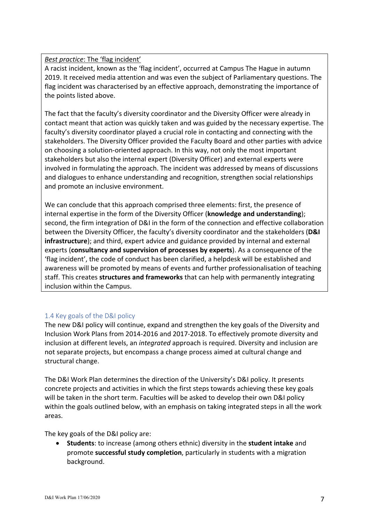## *Best practice*: The 'flag incident'

A racist incident, known as the 'flag incident', occurred at Campus The Hague in autumn 2019. It received media attention and was even the subject of Parliamentary questions. The flag incident was characterised by an effective approach, demonstrating the importance of the points listed above.

The fact that the faculty's diversity coordinator and the Diversity Officer were already in contact meant that action was quickly taken and was guided by the necessary expertise. The faculty's diversity coordinator played a crucial role in contacting and connecting with the stakeholders. The Diversity Officer provided the Faculty Board and other parties with advice on choosing a solution-oriented approach. In this way, not only the most important stakeholders but also the internal expert (Diversity Officer) and external experts were involved in formulating the approach. The incident was addressed by means of discussions and dialogues to enhance understanding and recognition, strengthen social relationships and promote an inclusive environment.

We can conclude that this approach comprised three elements: first, the presence of internal expertise in the form of the Diversity Officer (**knowledge and understanding**); second, the firm integration of D&I in the form of the connection and effective collaboration between the Diversity Officer, the faculty's diversity coordinator and the stakeholders (**D&I infrastructure**); and third, expert advice and guidance provided by internal and external experts (**consultancy and supervision of processes by experts**). As a consequence of the 'flag incident', the code of conduct has been clarified, a helpdesk will be established and awareness will be promoted by means of events and further professionalisation of teaching staff. This creates **structures and frameworks** that can help with permanently integrating inclusion within the Campus.

## 1.4 Key goals of the D&I policy

The new D&I policy will continue, expand and strengthen the key goals of the Diversity and Inclusion Work Plans from 2014-2016 and 2017-2018. To effectively promote diversity and inclusion at different levels, an *integrated* approach is required. Diversity and inclusion are not separate projects, but encompass a change process aimed at cultural change and structural change.

The D&I Work Plan determines the direction of the University's D&I policy. It presents concrete projects and activities in which the first steps towards achieving these key goals will be taken in the short term. Faculties will be asked to develop their own D&I policy within the goals outlined below, with an emphasis on taking integrated steps in all the work areas.

The key goals of the D&I policy are:

• **Students**: to increase (among others ethnic) diversity in the **student intake** and promote **successful study completion**, particularly in students with a migration background.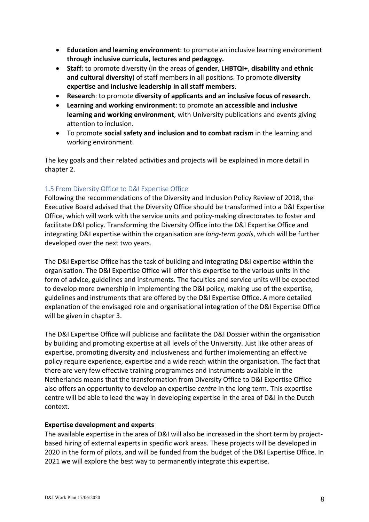- **Education and learning environment**: to promote an inclusive learning environment **through inclusive curricula, lectures and pedagogy.**
- **Staff**: to promote diversity (in the areas of **gender**, **LHBTQI+**, **disability** and **ethnic and cultural diversity**) of staff members in all positions. To promote **diversity expertise and inclusive leadership in all staff members**.
- **Research**: to promote **diversity of applicants and an inclusive focus of research.**
- **Learning and working environment**: to promote **an accessible and inclusive learning and working environment**, with University publications and events giving attention to inclusion.
- To promote **social safety and inclusion and to combat racism** in the learning and working environment.

The key goals and their related activities and projects will be explained in more detail in chapter 2.

## 1.5 From Diversity Office to D&I Expertise Office

Following the recommendations of the Diversity and Inclusion Policy Review of 2018, the Executive Board advised that the Diversity Office should be transformed into a D&I Expertise Office, which will work with the service units and policy-making directorates to foster and facilitate D&I policy. Transforming the Diversity Office into the D&I Expertise Office and integrating D&I expertise within the organisation are *long-term goals*, which will be further developed over the next two years.

The D&I Expertise Office has the task of building and integrating D&I expertise within the organisation. The D&I Expertise Office will offer this expertise to the various units in the form of advice, guidelines and instruments. The faculties and service units will be expected to develop more ownership in implementing the D&I policy, making use of the expertise, guidelines and instruments that are offered by the D&I Expertise Office. A more detailed explanation of the envisaged role and organisational integration of the D&I Expertise Office will be given in chapter 3.

The D&I Expertise Office will publicise and facilitate the D&I Dossier within the organisation by building and promoting expertise at all levels of the University. Just like other areas of expertise, promoting diversity and inclusiveness and further implementing an effective policy require experience, expertise and a wide reach within the organisation. The fact that there are very few effective training programmes and instruments available in the Netherlands means that the transformation from Diversity Office to D&I Expertise Office also offers an opportunity to develop an expertise *centre* in the long term. This expertise centre will be able to lead the way in developing expertise in the area of D&I in the Dutch context.

#### **Expertise development and experts**

The available expertise in the area of D&I will also be increased in the short term by projectbased hiring of external experts in specific work areas. These projects will be developed in 2020 in the form of pilots, and will be funded from the budget of the D&I Expertise Office. In 2021 we will explore the best way to permanently integrate this expertise.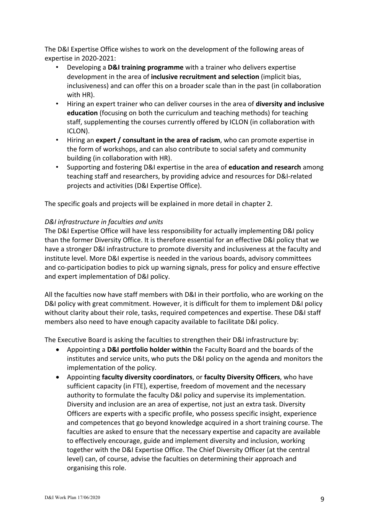The D&I Expertise Office wishes to work on the development of the following areas of expertise in 2020-2021:

- Developing a **D&I training programme** with a trainer who delivers expertise development in the area of **inclusive recruitment and selection** (implicit bias, inclusiveness) and can offer this on a broader scale than in the past (in collaboration with HR).
- Hiring an expert trainer who can deliver courses in the area of **diversity and inclusive education** (focusing on both the curriculum and teaching methods) for teaching staff, supplementing the courses currently offered by ICLON (in collaboration with ICLON).
- Hiring an **expert / consultant in the area of racism**, who can promote expertise in the form of workshops, and can also contribute to social safety and community building (in collaboration with HR).
- Supporting and fostering D&I expertise in the area of **education and research** among teaching staff and researchers, by providing advice and resources for D&I-related projects and activities (D&I Expertise Office).

The specific goals and projects will be explained in more detail in chapter 2.

## *D&I infrastructure in faculties and units*

The D&I Expertise Office will have less responsibility for actually implementing D&I policy than the former Diversity Office. It is therefore essential for an effective D&I policy that we have a stronger D&I infrastructure to promote diversity and inclusiveness at the faculty and institute level. More D&I expertise is needed in the various boards, advisory committees and co-participation bodies to pick up warning signals, press for policy and ensure effective and expert implementation of D&I policy.

All the faculties now have staff members with D&I in their portfolio, who are working on the D&I policy with great commitment. However, it is difficult for them to implement D&I policy without clarity about their role, tasks, required competences and expertise. These D&I staff members also need to have enough capacity available to facilitate D&I policy.

The Executive Board is asking the faculties to strengthen their D&I infrastructure by:

- Appointing a **D&I portfolio holder within** the Faculty Board and the boards of the institutes and service units, who puts the D&I policy on the agenda and monitors the implementation of the policy.
- Appointing **faculty diversity coordinators**, or **faculty Diversity Officers**, who have sufficient capacity (in FTE), expertise, freedom of movement and the necessary authority to formulate the faculty D&I policy and supervise its implementation. Diversity and inclusion are an area of expertise, not just an extra task. Diversity Officers are experts with a specific profile, who possess specific insight, experience and competences that go beyond knowledge acquired in a short training course. The faculties are asked to ensure that the necessary expertise and capacity are available to effectively encourage, guide and implement diversity and inclusion, working together with the D&I Expertise Office. The Chief Diversity Officer (at the central level) can, of course, advise the faculties on determining their approach and organising this role.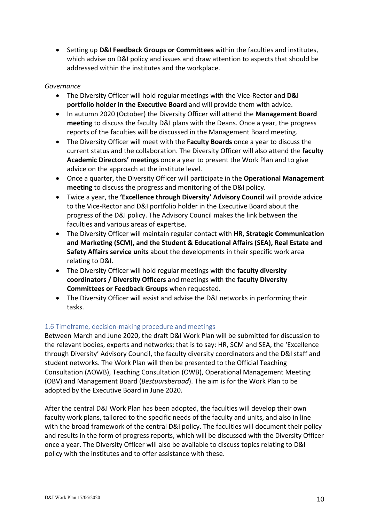• Setting up **D&I Feedback Groups or Committees** within the faculties and institutes, which advise on D&I policy and issues and draw attention to aspects that should be addressed within the institutes and the workplace.

#### *Governance*

- The Diversity Officer will hold regular meetings with the Vice-Rector and **D&I portfolio holder in the Executive Board** and will provide them with advice.
- In autumn 2020 (October) the Diversity Officer will attend the **Management Board meeting** to discuss the faculty D&I plans with the Deans. Once a year, the progress reports of the faculties will be discussed in the Management Board meeting.
- The Diversity Officer will meet with the **Faculty Boards** once a year to discuss the current status and the collaboration. The Diversity Officer will also attend the **faculty Academic Directors' meetings** once a year to present the Work Plan and to give advice on the approach at the institute level.
- Once a quarter, the Diversity Officer will participate in the **Operational Management meeting** to discuss the progress and monitoring of the D&I policy.
- Twice a year, the **'Excellence through Diversity' Advisory Council** will provide advice to the Vice-Rector and D&I portfolio holder in the Executive Board about the progress of the D&I policy. The Advisory Council makes the link between the faculties and various areas of expertise.
- The Diversity Officer will maintain regular contact with **HR, Strategic Communication and Marketing (SCM), and the Student & Educational Affairs (SEA), Real Estate and Safety Affairs service units** about the developments in their specific work area relating to D&I.
- The Diversity Officer will hold regular meetings with the **faculty diversity coordinators / Diversity Officers** and meetings with the **faculty Diversity Committees or Feedback Groups** when requested**.**
- The Diversity Officer will assist and advise the D&I networks in performing their tasks.

## 1.6 Timeframe, decision-making procedure and meetings

Between March and June 2020, the draft D&I Work Plan will be submitted for discussion to the relevant bodies, experts and networks; that is to say: HR, SCM and SEA, the 'Excellence through Diversity' Advisory Council, the faculty diversity coordinators and the D&I staff and student networks. The Work Plan will then be presented to the Official Teaching Consultation (AOWB), Teaching Consultation (OWB), Operational Management Meeting (OBV) and Management Board (*Bestuursberaad*). The aim is for the Work Plan to be adopted by the Executive Board in June 2020.

After the central D&I Work Plan has been adopted, the faculties will develop their own faculty work plans, tailored to the specific needs of the faculty and units, and also in line with the broad framework of the central D&I policy. The faculties will document their policy and results in the form of progress reports, which will be discussed with the Diversity Officer once a year. The Diversity Officer will also be available to discuss topics relating to D&I policy with the institutes and to offer assistance with these.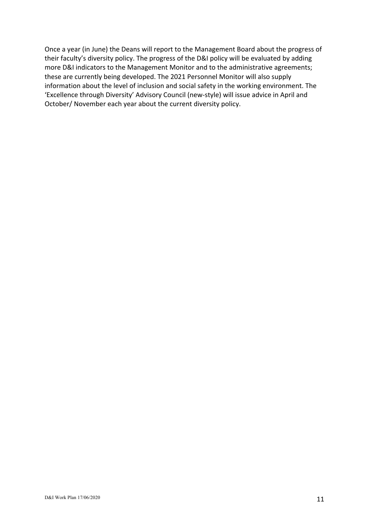Once a year (in June) the Deans will report to the Management Board about the progress of their faculty's diversity policy. The progress of the D&I policy will be evaluated by adding more D&I indicators to the Management Monitor and to the administrative agreements; these are currently being developed. The 2021 Personnel Monitor will also supply information about the level of inclusion and social safety in the working environment. The 'Excellence through Diversity' Advisory Council (new-style) will issue advice in April and October/ November each year about the current diversity policy.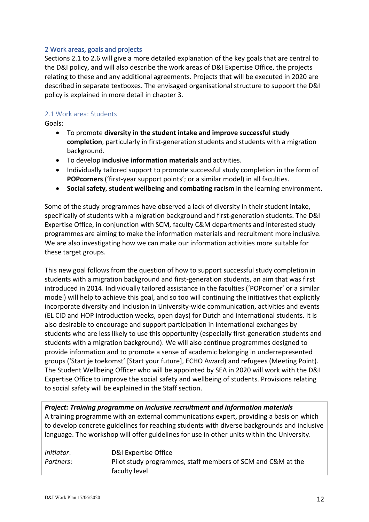#### 2 Work areas, goals and projects

Sections 2.1 to 2.6 will give a more detailed explanation of the key goals that are central to the D&I policy, and will also describe the work areas of D&I Expertise Office, the projects relating to these and any additional agreements. Projects that will be executed in 2020 are described in separate textboxes. The envisaged organisational structure to support the D&I policy is explained in more detail in chapter 3.

#### 2.1 Work area: Students

Goals:

- To promote **diversity in the student intake and improve successful study completion**, particularly in first-generation students and students with a migration background.
- To develop **inclusive information materials** and activities.
- Individually tailored support to promote successful study completion in the form of **POPcorners** ('first-year support points'; or a similar model) in all faculties.
- **Social safety**, **student wellbeing and combating racism** in the learning environment.

Some of the study programmes have observed a lack of diversity in their student intake, specifically of students with a migration background and first-generation students. The D&I Expertise Office, in conjunction with SCM, faculty C&M departments and interested study programmes are aiming to make the information materials and recruitment more inclusive. We are also investigating how we can make our information activities more suitable for these target groups.

This new goal follows from the question of how to support successful study completion in students with a migration background and first-generation students, an aim that was first introduced in 2014. Individually tailored assistance in the faculties ('POPcorner' or a similar model) will help to achieve this goal, and so too will continuing the initiatives that explicitly incorporate diversity and inclusion in University-wide communication, activities and events (EL CID and HOP introduction weeks, open days) for Dutch and international students. It is also desirable to encourage and support participation in international exchanges by students who are less likely to use this opportunity (especially first-generation students and students with a migration background). We will also continue programmes designed to provide information and to promote a sense of academic belonging in underrepresented groups ('Start je toekomst' [Start your future], ECHO Award) and refugees (Meeting Point). The Student Wellbeing Officer who will be appointed by SEA in 2020 will work with the D&I Expertise Office to improve the social safety and wellbeing of students. Provisions relating to social safety will be explained in the Staff section.

*Project: Training programme on inclusive recruitment and information materials* A training programme with an external communications expert, providing a basis on which to develop concrete guidelines for reaching students with diverse backgrounds and inclusive language. The workshop will offer guidelines for use in other units within the University.

| Initiator: | D&I Expertise Office                                        |
|------------|-------------------------------------------------------------|
| Partners:  | Pilot study programmes, staff members of SCM and C&M at the |
|            | faculty level                                               |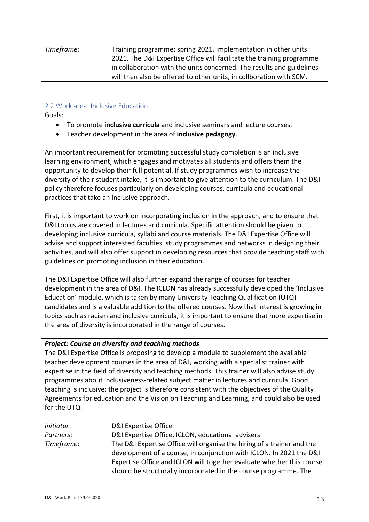*Timeframe:* Training programme: spring 2021. Implementation in other units: 2021. The D&I Expertise Office will facilitate the training programme in collaboration with the units concerned. The results and guidelines will then also be offered to other units, in collboration with SCM.

#### 2.2 Work area: Inclusive Education

Goals:

- To promote **inclusive curricula** and inclusive seminars and lecture courses.
- Teacher development in the area of **inclusive pedagogy**.

An important requirement for promoting successful study completion is an inclusive learning environment, which engages and motivates all students and offers them the opportunity to develop their full potential. If study programmes wish to increase the diversity of their student intake, it is important to give attention to the curriculum. The D&I policy therefore focuses particularly on developing courses, curricula and educational practices that take an inclusive approach.

First, it is important to work on incorporating inclusion in the approach, and to ensure that D&I topics are covered in lectures and curricula. Specific attention should be given to developing inclusive curricula, syllabi and course materials. The D&I Expertise Office will advise and support interested faculties, study programmes and networks in designing their activities, and will also offer support in developing resources that provide teaching staff with guidelines on promoting inclusion in their education.

The D&I Expertise Office will also further expand the range of courses for teacher development in the area of D&I. The ICLON has already successfully developed the 'Inclusive Education' module, which is taken by many University Teaching Qualification (UTQ) candidates and is a valuable addition to the offered courses. Now that interest is growing in topics such as racism and inclusive curricula, it is important to ensure that more expertise in the area of diversity is incorporated in the range of courses.

#### *Project: Course on diversity and teaching methods*

The D&I Expertise Office is proposing to develop a module to supplement the available teacher development courses in the area of D&I, working with a specialist trainer with expertise in the field of diversity and teaching methods. This trainer will also advise study programmes about inclusiveness-related subject matter in lectures and curricula. Good teaching is inclusive; the project is therefore consistent with the objectives of the Quality Agreements for education and the Vision on Teaching and Learning, and could also be used for the UTQ.

| D&I Expertise Office                                                   |
|------------------------------------------------------------------------|
| D&I Expertise Office, ICLON, educational advisers                      |
| The D&I Expertise Office will organise the hiring of a trainer and the |
| development of a course, in conjunction with ICLON. In 2021 the D&I    |
| Expertise Office and ICLON will together evaluate whether this course  |
| should be structurally incorporated in the course programme. The       |
|                                                                        |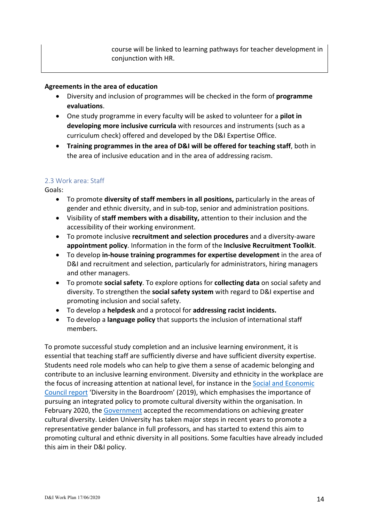course will be linked to learning pathways for teacher development in conjunction with HR.

#### **Agreements in the area of education**

- Diversity and inclusion of programmes will be checked in the form of **programme evaluations**.
- One study programme in every faculty will be asked to volunteer for a **pilot in developing more inclusive curricula** with resources and instruments (such as a curriculum check) offered and developed by the D&I Expertise Office.
- **Training programmes in the area of D&I will be offered for teaching staff**, both in the area of inclusive education and in the area of addressing racism.

## 2.3 Work area: Staff

Goals:

- To promote **diversity of staff members in all positions,** particularly in the areas of gender and ethnic diversity, and in sub-top, senior and administration positions.
- Visibility of **staff members with a disability,** attention to their inclusion and the accessibility of their working environment.
- To promote inclusive **recruitment and selection procedures** and a diversity-aware **appointment policy**. Information in the form of the **Inclusive Recruitment Toolkit**.
- To develop **in-house training programmes for expertise development** in the area of D&I and recruitment and selection, particularly for administrators, hiring managers and other managers.
- To promote **social safety**. To explore options for **collecting data** on social safety and diversity. To strengthen the **social safety system** with regard to D&I expertise and promoting inclusion and social safety.
- To develop a **helpdesk** and a protocol for **addressing racist incidents.**
- To develop a **language policy** that supports the inclusion of international staff members.

To promote successful study completion and an inclusive learning environment, it is essential that teaching staff are sufficiently diverse and have sufficient diversity expertise. Students need role models who can help to give them a sense of academic belonging and contribute to an inclusive learning environment. Diversity and ethnicity in the workplace are the focus of increasing attention at national level, for instance in the Social and Economic Council report 'Diversity in the Boardroom' (2019), which emphasises the importance of pursuing an integrated policy to promote cultural diversity within the organisation. In February 2020, the Government accepted the recommendations on achieving greater cultural diversity. Leiden University has taken major steps in recent years to promote a representative gender balance in full professors, and has started to extend this aim to promoting cultural and ethnic diversity in all positions. Some faculties have already included this aim in their D&I policy.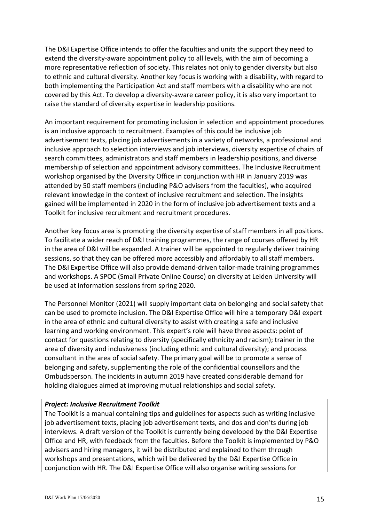The D&I Expertise Office intends to offer the faculties and units the support they need to extend the diversity-aware appointment policy to all levels, with the aim of becoming a more representative reflection of society. This relates not only to gender diversity but also to ethnic and cultural diversity. Another key focus is working with a disability, with regard to both implementing the Participation Act and staff members with a disability who are not covered by this Act. To develop a diversity-aware career policy, it is also very important to raise the standard of diversity expertise in leadership positions.

An important requirement for promoting inclusion in selection and appointment procedures is an inclusive approach to recruitment. Examples of this could be inclusive job advertisement texts, placing job advertisements in a variety of networks, a professional and inclusive approach to selection interviews and job interviews, diversity expertise of chairs of search committees, administrators and staff members in leadership positions, and diverse membership of selection and appointment advisory committees. The Inclusive Recruitment workshop organised by the Diversity Office in conjunction with HR in January 2019 was attended by 50 staff members (including P&O advisers from the faculties), who acquired relevant knowledge in the context of inclusive recruitment and selection. The insights gained will be implemented in 2020 in the form of inclusive job advertisement texts and a Toolkit for inclusive recruitment and recruitment procedures.

Another key focus area is promoting the diversity expertise of staff members in all positions. To facilitate a wider reach of D&I training programmes, the range of courses offered by HR in the area of D&I will be expanded. A trainer will be appointed to regularly deliver training sessions, so that they can be offered more accessibly and affordably to all staff members. The D&I Expertise Office will also provide demand-driven tailor-made training programmes and workshops. A SPOC (Small Private Online Course) on diversity at Leiden University will be used at information sessions from spring 2020.

The Personnel Monitor (2021) will supply important data on belonging and social safety that can be used to promote inclusion. The D&I Expertise Office will hire a temporary D&I expert in the area of ethnic and cultural diversity to assist with creating a safe and inclusive learning and working environment. This expert's role will have three aspects: point of contact for questions relating to diversity (specifically ethnicity and racism); trainer in the area of diversity and inclusiveness (including ethnic and cultural diversity); and process consultant in the area of social safety. The primary goal will be to promote a sense of belonging and safety, supplementing the role of the confidential counsellors and the Ombudsperson. The incidents in autumn 2019 have created considerable demand for holding dialogues aimed at improving mutual relationships and social safety.

#### *Project: Inclusive Recruitment Toolkit*

The Toolkit is a manual containing tips and guidelines for aspects such as writing inclusive job advertisement texts, placing job advertisement texts, and dos and don'ts during job interviews. A draft version of the Toolkit is currently being developed by the D&I Expertise Office and HR, with feedback from the faculties. Before the Toolkit is implemented by P&O advisers and hiring managers, it will be distributed and explained to them through workshops and presentations, which will be delivered by the D&I Expertise Office in conjunction with HR. The D&I Expertise Office will also organise writing sessions for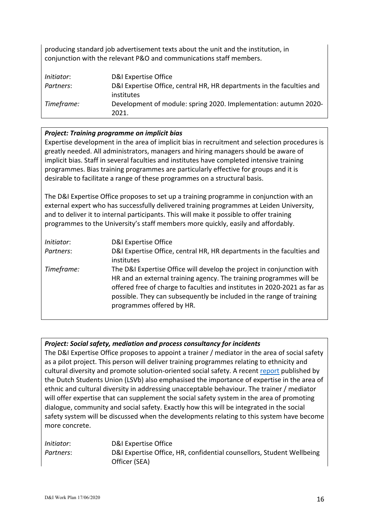producing standard job advertisement texts about the unit and the institution, in conjunction with the relevant P&O and communications staff members.

| Initiator: | D&I Expertise Office                                                  |
|------------|-----------------------------------------------------------------------|
| Partners:  | D&I Expertise Office, central HR, HR departments in the faculties and |
|            | institutes                                                            |
| Timeframe: | Development of module: spring 2020. Implementation: autumn 2020-      |
|            | 2021.                                                                 |

## *Project: Training programme on implicit bias*

Expertise development in the area of implicit bias in recruitment and selection procedures is greatly needed. All administrators, managers and hiring managers should be aware of implicit bias. Staff in several faculties and institutes have completed intensive training programmes. Bias training programmes are particularly effective for groups and it is desirable to facilitate a range of these programmes on a structural basis.

The D&I Expertise Office proposes to set up a training programme in conjunction with an external expert who has successfully delivered training programmes at Leiden University, and to deliver it to internal participants. This will make it possible to offer training programmes to the University's staff members more quickly, easily and affordably.

| Initiator: | D&I Expertise Office                                                                                                                                                                                                                                                                                                           |
|------------|--------------------------------------------------------------------------------------------------------------------------------------------------------------------------------------------------------------------------------------------------------------------------------------------------------------------------------|
| Partners:  | D&I Expertise Office, central HR, HR departments in the faculties and<br>institutes                                                                                                                                                                                                                                            |
| Timeframe: | The D&I Expertise Office will develop the project in conjunction with<br>HR and an external training agency. The training programmes will be<br>offered free of charge to faculties and institutes in 2020-2021 as far as<br>possible. They can subsequently be included in the range of training<br>programmes offered by HR. |

## *Project: Social safety, mediation and process consultancy for incidents*

The D&I Expertise Office proposes to appoint a trainer / mediator in the area of social safety as a pilot project. This person will deliver training programmes relating to ethnicity and cultural diversity and promote solution-oriented social safety. A recent report published by the Dutch Students Union (LSVb) also emphasised the importance of expertise in the area of ethnic and cultural diversity in addressing unacceptable behaviour. The trainer / mediator will offer expertise that can supplement the social safety system in the area of promoting dialogue, community and social safety. Exactly how this will be integrated in the social safety system will be discussed when the developments relating to this system have become more concrete.

| Initiator: | D&I Expertise Office                                                  |
|------------|-----------------------------------------------------------------------|
| Partners:  | D&I Expertise Office, HR, confidential counsellors, Student Wellbeing |
|            | Officer (SEA)                                                         |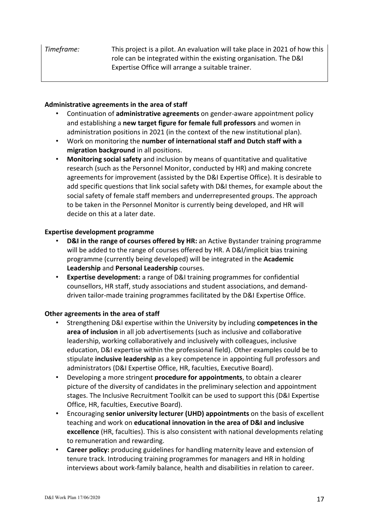## **Administrative agreements in the area of staff**

- Continuation of **administrative agreements** on gender-aware appointment policy and establishing a **new target figure for female full professors** and women in administration positions in 2021 (in the context of the new institutional plan).
- Work on monitoring the **number of international staff and Dutch staff with a migration background** in all positions.
- **Monitoring social safety** and inclusion by means of quantitative and qualitative research (such as the Personnel Monitor, conducted by HR) and making concrete agreements for improvement (assisted by the D&I Expertise Office). It is desirable to add specific questions that link social safety with D&I themes, for example about the social safety of female staff members and underrepresented groups. The approach to be taken in the Personnel Monitor is currently being developed, and HR will decide on this at a later date.

#### **Expertise development programme**

- **D&I in the range of courses offered by HR:** an Active Bystander training programme will be added to the range of courses offered by HR. A D&I/implicit bias training programme (currently being developed) will be integrated in the **Academic Leadership** and **Personal Leadership** courses.
- **Expertise development:** a range of D&I training programmes for confidential counsellors, HR staff, study associations and student associations, and demanddriven tailor-made training programmes facilitated by the D&I Expertise Office.

## **Other agreements in the area of staff**

- Strengthening D&I expertise within the University by including **competences in the area of inclusion** in all job advertisements (such as inclusive and collaborative leadership, working collaboratively and inclusively with colleagues, inclusive education, D&I expertise within the professional field). Other examples could be to stipulate **inclusive leadership** as a key competence in appointing full professors and administrators (D&I Expertise Office, HR, faculties, Executive Board).
- Developing a more stringent **procedure for appointments**, to obtain a clearer picture of the diversity of candidates in the preliminary selection and appointment stages. The Inclusive Recruitment Toolkit can be used to support this (D&I Expertise Office, HR, faculties, Executive Board).
- Encouraging **senior university lecturer (UHD) appointments** on the basis of excellent teaching and work on **educational innovation in the area of D&I and inclusive excellence** (HR, faculties). This is also consistent with national developments relating to remuneration and rewarding.
- **Career policy:** producing guidelines for handling maternity leave and extension of tenure track. Introducing training programmes for managers and HR in holding interviews about work-family balance, health and disabilities in relation to career.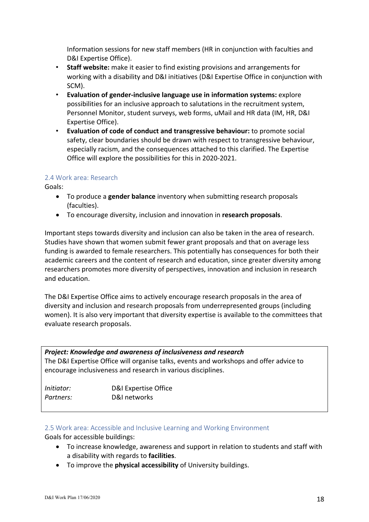Information sessions for new staff members (HR in conjunction with faculties and D&I Expertise Office).

- **Staff website:** make it easier to find existing provisions and arrangements for working with a disability and D&I initiatives (D&I Expertise Office in conjunction with SCM).
- **Evaluation of gender-inclusive language use in information systems:** explore possibilities for an inclusive approach to salutations in the recruitment system, Personnel Monitor, student surveys, web forms, uMail and HR data (IM, HR, D&I Expertise Office).
- **Evaluation of code of conduct and transgressive behaviour:** to promote social safety, clear boundaries should be drawn with respect to transgressive behaviour, especially racism, and the consequences attached to this clarified. The Expertise Office will explore the possibilities for this in 2020-2021.

## 2.4 Work area: Research

Goals:

- To produce a **gender balance** inventory when submitting research proposals (faculties).
- To encourage diversity, inclusion and innovation in **research proposals**.

Important steps towards diversity and inclusion can also be taken in the area of research. Studies have shown that women submit fewer grant proposals and that on average less funding is awarded to female researchers. This potentially has consequences for both their academic careers and the content of research and education, since greater diversity among researchers promotes more diversity of perspectives, innovation and inclusion in research and education.

The D&I Expertise Office aims to actively encourage research proposals in the area of diversity and inclusion and research proposals from underrepresented groups (including women). It is also very important that diversity expertise is available to the committees that evaluate research proposals.

| Project: Knowledge and awareness of inclusiveness and research |                                                                                        |
|----------------------------------------------------------------|----------------------------------------------------------------------------------------|
|                                                                | The D&I Expertise Office will organise talks, events and workshops and offer advice to |
| encourage inclusiveness and research in various disciplines.   |                                                                                        |
|                                                                |                                                                                        |
| <i>Initiator:</i>                                              | D&I Expertise Office                                                                   |
| Partners:                                                      | D&I networks                                                                           |

#### 2.5 Work area: Accessible and Inclusive Learning and Working Environment

Goals for accessible buildings:

- To increase knowledge, awareness and support in relation to students and staff with a disability with regards to **facilities**.
- To improve the **physical accessibility** of University buildings.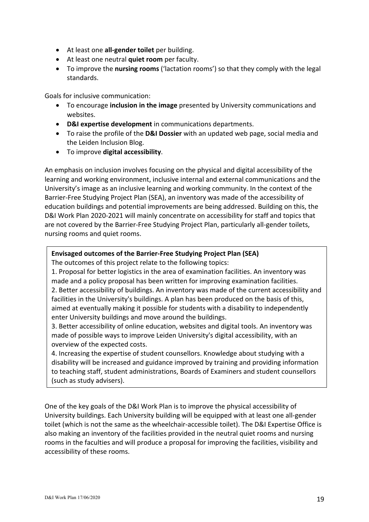- At least one **all-gender toilet** per building.
- At least one neutral **quiet room** per faculty.
- To improve the **nursing rooms** ('lactation rooms') so that they comply with the legal standards.

Goals for inclusive communication:

- To encourage **inclusion in the image** presented by University communications and websites.
- **D&I expertise development** in communications departments.
- To raise the profile of the **D&I Dossier** with an updated web page, social media and the Leiden Inclusion Blog.
- To improve **digital accessibility**.

An emphasis on inclusion involves focusing on the physical and digital accessibility of the learning and working environment, inclusive internal and external communications and the University's image as an inclusive learning and working community. In the context of the Barrier-Free Studying Project Plan (SEA), an inventory was made of the accessibility of education buildings and potential improvements are being addressed. Building on this, the D&I Work Plan 2020-2021 will mainly concentrate on accessibility for staff and topics that are not covered by the Barrier-Free Studying Project Plan, particularly all-gender toilets, nursing rooms and quiet rooms.

#### **Envisaged outcomes of the Barrier-Free Studying Project Plan (SEA)**

The outcomes of this project relate to the following topics:

1. Proposal for better logistics in the area of examination facilities. An inventory was made and a policy proposal has been written for improving examination facilities. 2. Better accessibility of buildings. An inventory was made of the current accessibility and facilities in the University's buildings. A plan has been produced on the basis of this, aimed at eventually making it possible for students with a disability to independently enter University buildings and move around the buildings.

3. Better accessibility of online education, websites and digital tools. An inventory was made of possible ways to improve Leiden University's digital accessibility, with an overview of the expected costs.

4. Increasing the expertise of student counsellors. Knowledge about studying with a disability will be increased and guidance improved by training and providing information to teaching staff, student administrations, Boards of Examiners and student counsellors (such as study advisers).

One of the key goals of the D&I Work Plan is to improve the physical accessibility of University buildings. Each University building will be equipped with at least one all-gender toilet (which is not the same as the wheelchair-accessible toilet). The D&I Expertise Office is also making an inventory of the facilities provided in the neutral quiet rooms and nursing rooms in the faculties and will produce a proposal for improving the facilities, visibility and accessibility of these rooms.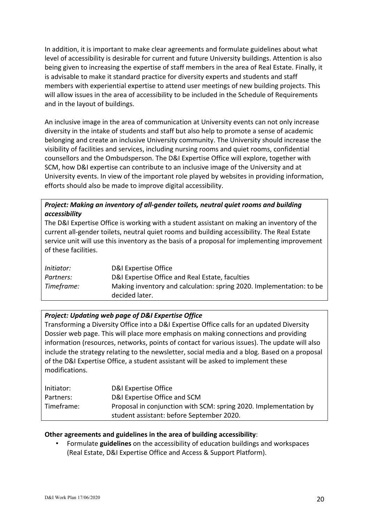In addition, it is important to make clear agreements and formulate guidelines about what level of accessibility is desirable for current and future University buildings. Attention is also being given to increasing the expertise of staff members in the area of Real Estate. Finally, it is advisable to make it standard practice for diversity experts and students and staff members with experiential expertise to attend user meetings of new building projects. This will allow issues in the area of accessibility to be included in the Schedule of Requirements and in the layout of buildings.

An inclusive image in the area of communication at University events can not only increase diversity in the intake of students and staff but also help to promote a sense of academic belonging and create an inclusive University community. The University should increase the visibility of facilities and services, including nursing rooms and quiet rooms, confidential counsellors and the Ombudsperson. The D&I Expertise Office will explore, together with SCM, how D&I expertise can contribute to an inclusive image of the University and at University events. In view of the important role played by websites in providing information, efforts should also be made to improve digital accessibility.

## *Project: Making an inventory of all-gender toilets, neutral quiet rooms and building accessibility*

The D&I Expertise Office is working with a student assistant on making an inventory of the current all-gender toilets, neutral quiet rooms and building accessibility. The Real Estate service unit will use this inventory as the basis of a proposal for implementing improvement of these facilities.

| Initiator: | D&I Expertise Office                                                                   |
|------------|----------------------------------------------------------------------------------------|
| Partners:  | D&I Expertise Office and Real Estate, faculties                                        |
| Timeframe: | Making inventory and calculation: spring 2020. Implementation: to be<br>decided later. |

## *Project: Updating web page of D&I Expertise Office*

Transforming a Diversity Office into a D&I Expertise Office calls for an updated Diversity Dossier web page. This will place more emphasis on making connections and providing information (resources, networks, points of contact for various issues). The update will also include the strategy relating to the newsletter, social media and a blog. Based on a proposal of the D&I Expertise Office, a student assistant will be asked to implement these modifications.

| Initiator: | D&I Expertise Office                                             |
|------------|------------------------------------------------------------------|
| Partners:  | D&I Expertise Office and SCM                                     |
| Timeframe: | Proposal in conjunction with SCM: spring 2020. Implementation by |
|            | student assistant: before September 2020.                        |

## **Other agreements and guidelines in the area of building accessibility**:

• Formulate **guidelines** on the accessibility of education buildings and workspaces (Real Estate, D&I Expertise Office and Access & Support Platform).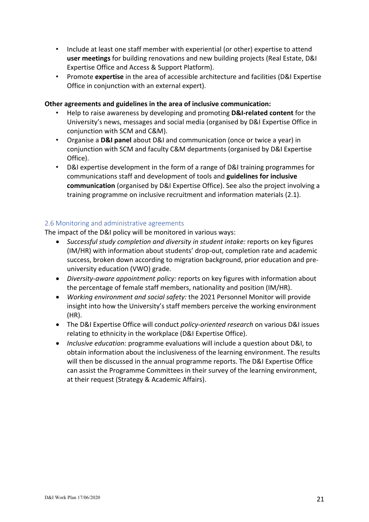- Include at least one staff member with experiential (or other) expertise to attend **user meetings** for building renovations and new building projects (Real Estate, D&I Expertise Office and Access & Support Platform).
- Promote **expertise** in the area of accessible architecture and facilities (D&I Expertise Office in conjunction with an external expert).

#### **Other agreements and guidelines in the area of inclusive communication:**

- Help to raise awareness by developing and promoting **D&I-related content** for the University's news, messages and social media (organised by D&I Expertise Office in conjunction with SCM and C&M).
- Organise a **D&I panel** about D&I and communication (once or twice a year) in conjunction with SCM and faculty C&M departments (organised by D&I Expertise Office).
- D&I expertise development in the form of a range of D&I training programmes for communications staff and development of tools and **guidelines for inclusive communication** (organised by D&I Expertise Office). See also the project involving a training programme on inclusive recruitment and information materials (2.1).

## 2.6 Monitoring and administrative agreements

The impact of the D&I policy will be monitored in various ways:

- *Successful study completion and diversity in student intake:* reports on key figures (IM/HR) with information about students' drop-out, completion rate and academic success, broken down according to migration background, prior education and preuniversity education (VWO) grade.
- *Diversity-aware appointment policy:* reports on key figures with information about the percentage of female staff members, nationality and position (IM/HR).
- *Working environment and social safety:* the 2021 Personnel Monitor will provide insight into how the University's staff members perceive the working environment (HR).
- The D&I Expertise Office will conduct *policy-oriented research* on various D&I issues relating to ethnicity in the workplace (D&I Expertise Office).
- *Inclusive education:* programme evaluations will include a question about D&I, to obtain information about the inclusiveness of the learning environment. The results will then be discussed in the annual programme reports. The D&I Expertise Office can assist the Programme Committees in their survey of the learning environment, at their request (Strategy & Academic Affairs).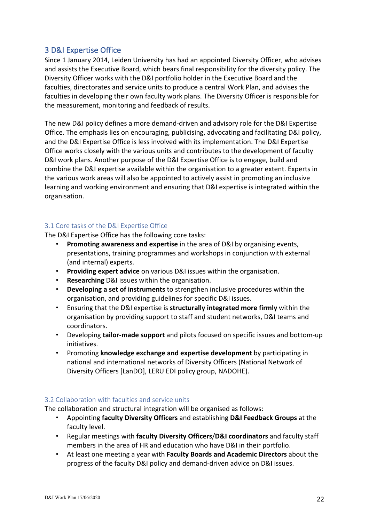# 3 D&I Expertise Office

Since 1 January 2014, Leiden University has had an appointed Diversity Officer, who advises and assists the Executive Board, which bears final responsibility for the diversity policy. The Diversity Officer works with the D&I portfolio holder in the Executive Board and the faculties, directorates and service units to produce a central Work Plan, and advises the faculties in developing their own faculty work plans. The Diversity Officer is responsible for the measurement, monitoring and feedback of results.

The new D&I policy defines a more demand-driven and advisory role for the D&I Expertise Office. The emphasis lies on encouraging, publicising, advocating and facilitating D&I policy, and the D&I Expertise Office is less involved with its implementation. The D&I Expertise Office works closely with the various units and contributes to the development of faculty D&I work plans. Another purpose of the D&I Expertise Office is to engage, build and combine the D&I expertise available within the organisation to a greater extent. Experts in the various work areas will also be appointed to actively assist in promoting an inclusive learning and working environment and ensuring that D&I expertise is integrated within the organisation.

## 3.1 Core tasks of the D&I Expertise Office

The D&I Expertise Office has the following core tasks:

- **Promoting awareness and expertise** in the area of D&I by organising events, presentations, training programmes and workshops in conjunction with external (and internal) experts.
- **Providing expert advice** on various D&I issues within the organisation.
- **Researching** D&I issues within the organisation.
- **Developing a set of instruments** to strengthen inclusive procedures within the organisation, and providing guidelines for specific D&I issues.
- Ensuring that the D&I expertise is **structurally integrated more firmly** within the organisation by providing support to staff and student networks, D&I teams and coordinators.
- Developing **tailor-made support** and pilots focused on specific issues and bottom-up initiatives.
- Promoting **knowledge exchange and expertise development** by participating in national and international networks of Diversity Officers (National Network of Diversity Officers [LanDO], LERU EDI policy group, NADOHE).

#### 3.2 Collaboration with faculties and service units

The collaboration and structural integration will be organised as follows:

- Appointing **faculty Diversity Officers** and establishing **D&I Feedback Groups** at the faculty level.
- Regular meetings with **faculty Diversity Officers**/**D&I coordinators** and faculty staff members in the area of HR and education who have D&I in their portfolio.
- At least one meeting a year with **Faculty Boards and Academic Directors** about the progress of the faculty D&I policy and demand-driven advice on D&I issues.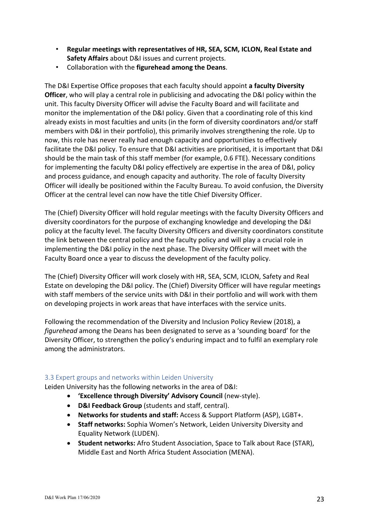- **Regular meetings with representatives of HR, SEA, SCM, ICLON, Real Estate and Safety Affairs** about D&I issues and current projects.
- Collaboration with the **figurehead among the Deans**.

The D&I Expertise Office proposes that each faculty should appoint **a faculty Diversity Officer**, who will play a central role in publicising and advocating the D&I policy within the unit. This faculty Diversity Officer will advise the Faculty Board and will facilitate and monitor the implementation of the D&I policy. Given that a coordinating role of this kind already exists in most faculties and units (in the form of diversity coordinators and/or staff members with D&I in their portfolio), this primarily involves strengthening the role. Up to now, this role has never really had enough capacity and opportunities to effectively facilitate the D&I policy. To ensure that D&I activities are prioritised, it is important that D&I should be the main task of this staff member (for example, 0.6 FTE). Necessary conditions for implementing the faculty D&I policy effectively are expertise in the area of D&I, policy and process guidance, and enough capacity and authority. The role of faculty Diversity Officer will ideally be positioned within the Faculty Bureau. To avoid confusion, the Diversity Officer at the central level can now have the title Chief Diversity Officer.

The (Chief) Diversity Officer will hold regular meetings with the faculty Diversity Officers and diversity coordinators for the purpose of exchanging knowledge and developing the D&I policy at the faculty level. The faculty Diversity Officers and diversity coordinators constitute the link between the central policy and the faculty policy and will play a crucial role in implementing the D&I policy in the next phase. The Diversity Officer will meet with the Faculty Board once a year to discuss the development of the faculty policy.

The (Chief) Diversity Officer will work closely with HR, SEA, SCM, ICLON, Safety and Real Estate on developing the D&I policy. The (Chief) Diversity Officer will have regular meetings with staff members of the service units with D&I in their portfolio and will work with them on developing projects in work areas that have interfaces with the service units.

Following the recommendation of the Diversity and Inclusion Policy Review (2018), a *figurehead* among the Deans has been designated to serve as a 'sounding board' for the Diversity Officer, to strengthen the policy's enduring impact and to fulfil an exemplary role among the administrators.

#### 3.3 Expert groups and networks within Leiden University

Leiden University has the following networks in the area of D&I:

- **'Excellence through Diversity' Advisory Council** (new-style).
- **D&I Feedback Group** (students and staff, central).
- **Networks for students and staff:** Access & Support Platform (ASP), LGBT+.
- **Staff networks:** Sophia Women's Network, Leiden University Diversity and Equality Network (LUDEN).
- **Student networks:** Afro Student Association, Space to Talk about Race (STAR), Middle East and North Africa Student Association (MENA).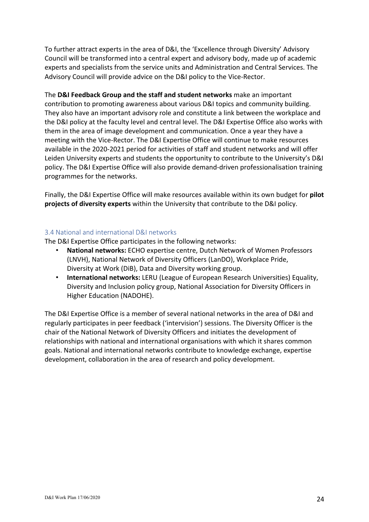To further attract experts in the area of D&I, the 'Excellence through Diversity' Advisory Council will be transformed into a central expert and advisory body, made up of academic experts and specialists from the service units and Administration and Central Services. The Advisory Council will provide advice on the D&I policy to the Vice-Rector.

The **D&I Feedback Group and the staff and student networks** make an important contribution to promoting awareness about various D&I topics and community building. They also have an important advisory role and constitute a link between the workplace and the D&I policy at the faculty level and central level. The D&I Expertise Office also works with them in the area of image development and communication. Once a year they have a meeting with the Vice-Rector. The D&I Expertise Office will continue to make resources available in the 2020-2021 period for activities of staff and student networks and will offer Leiden University experts and students the opportunity to contribute to the University's D&I policy. The D&I Expertise Office will also provide demand-driven professionalisation training programmes for the networks.

Finally, the D&I Expertise Office will make resources available within its own budget for **pilot projects of diversity experts** within the University that contribute to the D&I policy.

#### 3.4 National and international D&I networks

The D&I Expertise Office participates in the following networks:

- **National networks:** ECHO expertise centre, Dutch Network of Women Professors (LNVH), National Network of Diversity Officers (LanDO), Workplace Pride, Diversity at Work (DiB), Data and Diversity working group.
- **International networks:** LERU (League of European Research Universities) Equality, Diversity and Inclusion policy group, National Association for Diversity Officers in Higher Education (NADOHE).

The D&I Expertise Office is a member of several national networks in the area of D&I and regularly participates in peer feedback ('intervision') sessions. The Diversity Officer is the chair of the National Network of Diversity Officers and initiates the development of relationships with national and international organisations with which it shares common goals. National and international networks contribute to knowledge exchange, expertise development, collaboration in the area of research and policy development.